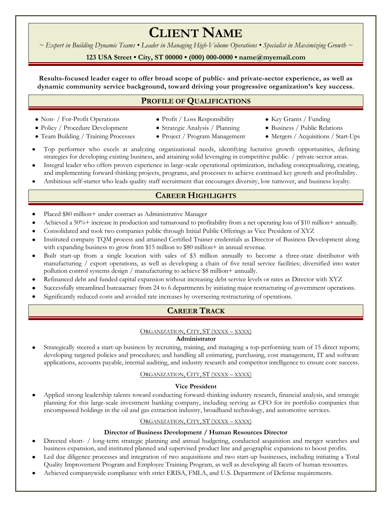# **CLIENT NAME**

*~ Expert in Building Dynamic Teams • Leader in Managing High-Volume Operations • Specialist in Maximizing Growth ~*

# **123 USA Street • City, ST 00000 • (000) 000-0000 • name@myemail.com**

# **Results-focused leader eager to offer broad scope of public- and private-sector experience, as well as dynamic community service background, toward driving your progressive organization's key success.**

# **PROFILE OF QUALIFICATIONS**

- Non- / For-Profit Operations
- Policy / Procedure Development
- Team Building / Training Processes
- Profit / Loss Responsibility
- Strategic Analysis / Planning
- Project / Program Management
- Key Grants / Funding
- Business / Public Relations
- Mergers / Acquisitions / Start-Ups
- Top performer who excels at analyzing organizational needs, identifying lucrative growth opportunities, defining strategies for developing existing business, and attaining solid leveraging in competitive public- / private-sector areas.
- Integral leader who offers proven experience in large-scale operational optimization, including conceptualizing, creating, and implementing forward-thinking projects, programs, and processes to achieve continued key growth and profitability.
- Ambitious self-starter who leads quality staff recruitment that encourages diversity, low turnover, and business loyalty.

# **CAREER HIGHLIGHTS**

- Placed \$80 million+ under contract as Administrative Manager
- Achieved a 50%+ increase in production and turnaround to profitability from a net operating loss of \$10 million+ annually.
- Consolidated and took two companies public through Initial Public Offerings as Vice President of XYZ
- Instituted company TQM process and attained Certified Trainer credentials as Director of Business Development along with expanding business to grow from \$15 million to \$80 million+ in annual revenue.
- Built start-up from a single location with sales of \$3 million annually to become a three-state distributor with manufacturing / export operations, as well as developing a chain of five retail service facilities; diversified into water pollution control systems design / manufacturing to achieve \$8 million+ annually.
- Refinanced debt and funded capital expansion without increasing debt service levels or rates as Director with XYZ
- Successfully streamlined bureaucracy from 24 to 6 departments by initiating major restructuring of government operations.
- Significantly reduced costs and avoided rate increases by overseeing restructuring of operations.

# **CAREER TRACK**

# ORGANIZATION, CITY, ST (XXXX – XXXX)

#### **Administrator**

Strategically steered a start-up business by recruiting, training, and managing a top-performing team of 15 direct reports; developing targeted policies and procedures; and handling all estimating, purchasing, cost management, IT and software applications, accounts payable, internal auditing, and industry research and competitor intelligence to ensure core success.

#### ORGANIZATION, CITY, ST (XXXX – XXXX)

#### **Vice President**

Applied strong leadership talents toward conducting forward-thinking industry research, financial analysis, and strategic planning for this large-scale investment banking company, including serving as CFO for its portfolio companies that encompassed holdings in the oil and gas extraction industry, broadband technology, and automotive services.

#### ORGANIZATION, CITY, ST (XXXX – XXXX)

#### **Director of Business Development / Human Resources Director**

- Directed short- / long-term strategic planning and annual budgeting, conducted acquisition and merger searches and business expansion, and instituted planned and supervised product line and geographic expansions to boost profits.
- Led due diligence processes and integration of two acquisitions and two start-up businesses, including initiating a Total Quality Improvement Program and Employee Training Program, as well as developing all facets of human resources.
- Achieved companywide compliance with strict ERISA, FMLA, and U.S. Department of Defense requirements.